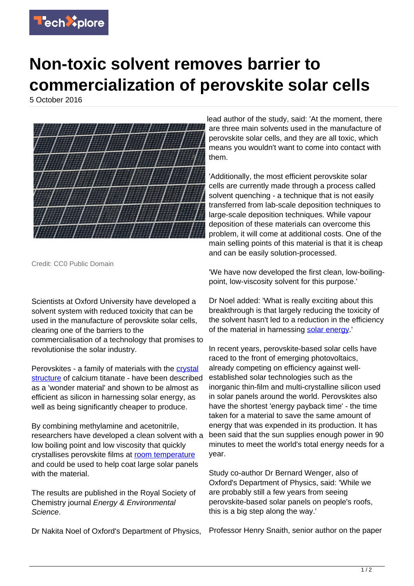

## **Non-toxic solvent removes barrier to commercialization of perovskite solar cells**

5 October 2016



Credit: CC0 Public Domain

Scientists at Oxford University have developed a solvent system with reduced toxicity that can be used in the manufacture of perovskite solar cells, clearing one of the barriers to the commercialisation of a technology that promises to revolutionise the solar industry.

Perovskites - a family of materials with the [crystal](https://techxplore.com/tags/crystal+structure/) [structure](https://techxplore.com/tags/crystal+structure/) of calcium titanate - have been described as a 'wonder material' and shown to be almost as efficient as silicon in harnessing solar energy, as well as being significantly cheaper to produce.

By combining methylamine and acetonitrile, researchers have developed a clean solvent with a low boiling point and low viscosity that quickly crystallises perovskite films at [room temperature](https://techxplore.com/tags/room+temperature/) and could be used to help coat large solar panels with the material.

The results are published in the Royal Society of Chemistry journal Energy & Environmental Science.

Dr Nakita Noel of Oxford's Department of Physics,

lead author of the study, said: 'At the moment, there are three main solvents used in the manufacture of perovskite solar cells, and they are all toxic, which means you wouldn't want to come into contact with them.

'Additionally, the most efficient perovskite solar cells are currently made through a process called solvent quenching - a technique that is not easily transferred from lab-scale deposition techniques to large-scale deposition techniques. While vapour deposition of these materials can overcome this problem, it will come at additional costs. One of the main selling points of this material is that it is cheap and can be easily solution-processed.

'We have now developed the first clean, low-boilingpoint, low-viscosity solvent for this purpose.'

Dr Noel added: 'What is really exciting about this breakthrough is that largely reducing the toxicity of the solvent hasn't led to a reduction in the efficiency of the material in harnessing [solar energy](https://techxplore.com/tags/solar+energy/).'

In recent years, perovskite-based solar cells have raced to the front of emerging photovoltaics, already competing on efficiency against wellestablished solar technologies such as the inorganic thin-film and multi-crystalline silicon used in solar panels around the world. Perovskites also have the shortest 'energy payback time' - the time taken for a material to save the same amount of energy that was expended in its production. It has been said that the sun supplies enough power in 90 minutes to meet the world's total energy needs for a year.

Study co-author Dr Bernard Wenger, also of Oxford's Department of Physics, said: 'While we are probably still a few years from seeing perovskite-based solar panels on people's roofs, this is a big step along the way.'

Professor Henry Snaith, senior author on the paper